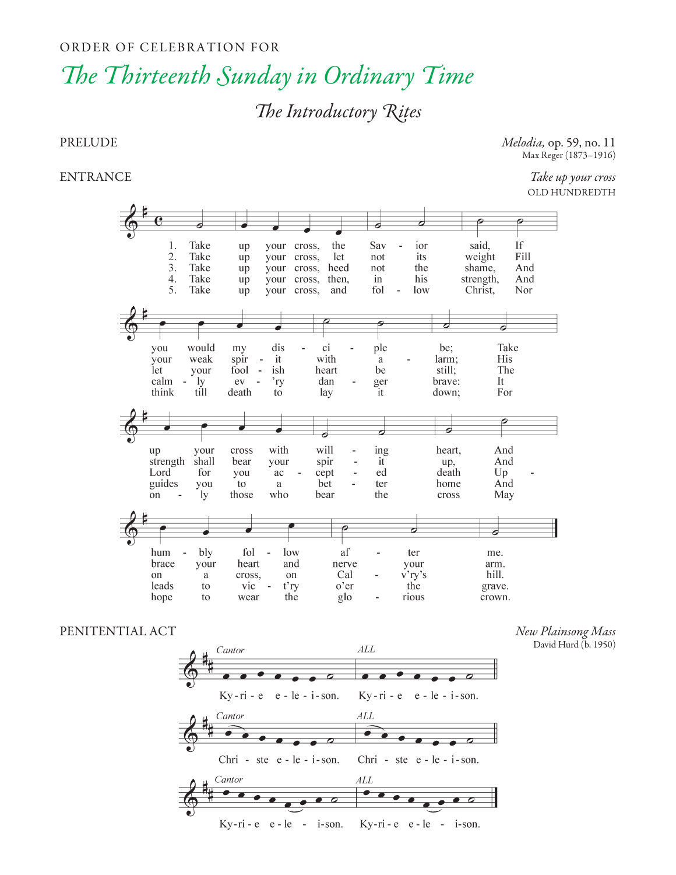### ORDER OF CELEBRATION FOR

# *e Thirteenth Sunday in Ordinary Time*

## *e Introductory Rites*

PRELUDE *Melodia,* op. 59, no. 11 Max Reger (1873–1916)

ENTRANCE *Take up your cross* OLD HUNDREDTH



### PENITENTIAL ACT *New Plainsong Mass*

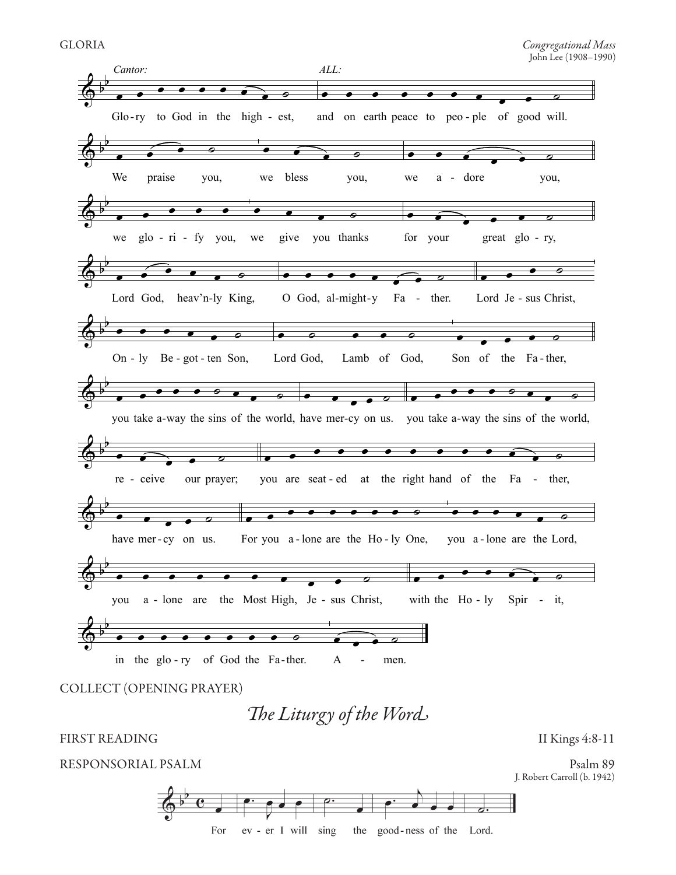

*e Liturgy of the Word*

FIRST READING II Kings 4:8-11

RESPONSORIAL PSALM Psalm 89



J. Robert Carroll (b. 1942)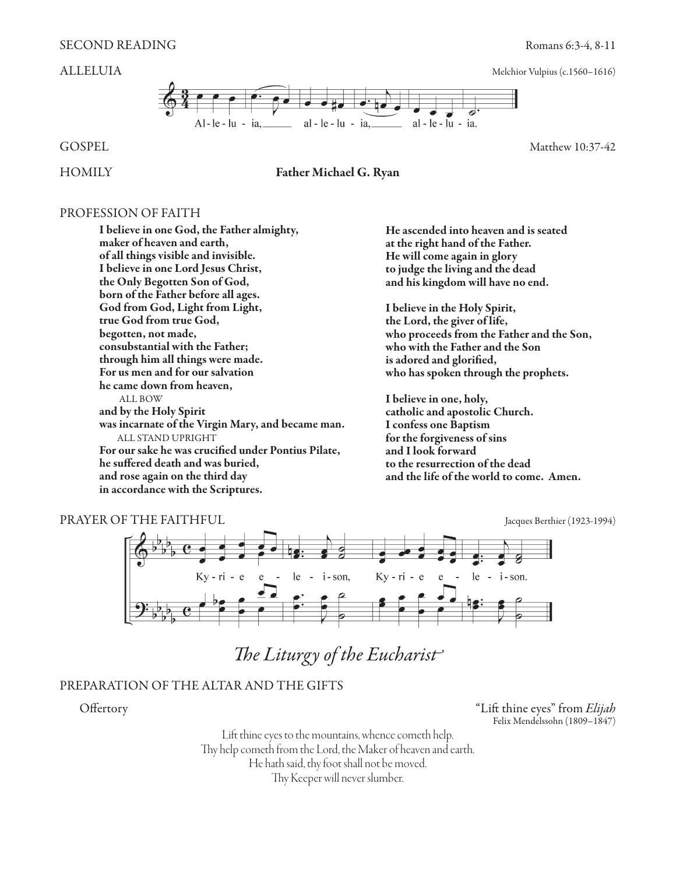

HOMILY Father Michael G. Ryan

### PROFESSION OF FAITH

I believe in one God, the Father almighty, maker of heaven and earth, of all things visible and invisible. I believe in one Lord Jesus Christ, the Only Begotten Son of God, born of the Father before all ages. God from God, Light from Light, true God from true God, begotten, not made, consubstantial with the Father; through him all things were made. For us men and for our salvation he came down from heaven, ALL BOW and by the Holy Spirit was incarnate of the Virgin Mary, and became man. ALL STAND UPRIGHT For our sake he was crucified under Pontius Pilate, he suffered death and was buried, and rose again on the third day in accordance with the Scriptures.

He ascended into heaven and is seated at the right hand of the Father. He will come again in glory to judge the living and the dead and his kingdom will have no end.

I believe in the Holy Spirit, the Lord, the giver of life, who proceeds from the Father and the Son, who with the Father and the Son is adored and glorified, who has spoken through the prophets.

I believe in one, holy, catholic and apostolic Church. I confess one Baptism for the forgiveness of sins and I look forward to the resurrection of the dead and the life of the world to come. Amen.



*The Liturgy of the Eucharist*

### PREPARATION OF THE ALTAR AND THE GIFTS

Offertory "Lift thine eyes" from *Elijah*Felix Mendelssohn (1809–1847)

> Lift thine eyes to the mountains, whence cometh help. Thy help cometh from the Lord, the Maker of heaven and earth. He hath said, thy foot shall not be moved. Thy Keeper will never slumber.

GOSPEL Matthew 10:37-42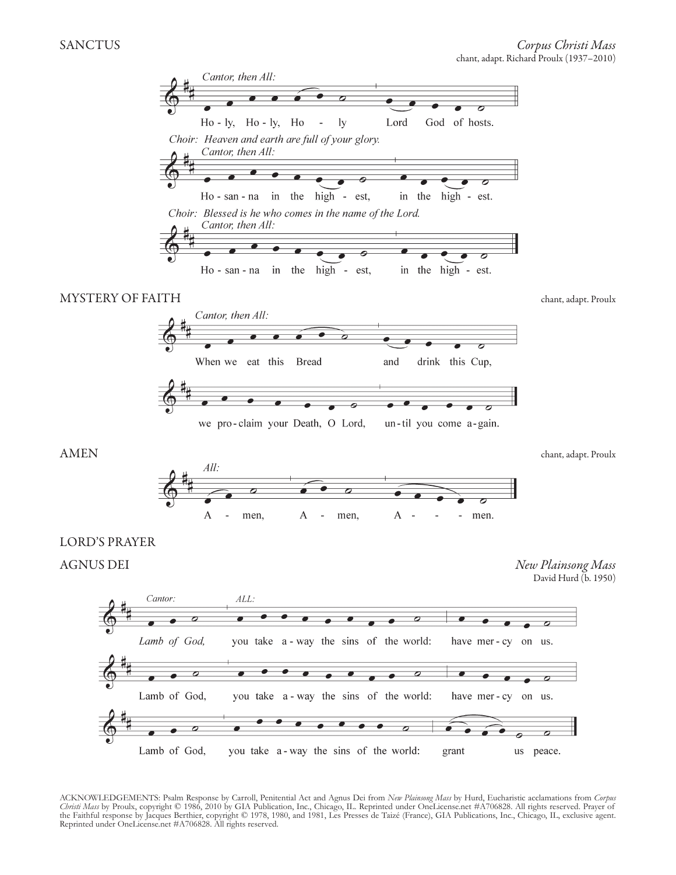

ACKNOWLEDGEMENTS: Psalm Response by Carroll, Penitential Act and Agnus Dei from *New Plainsong Mass* by Hurd, Eucharistic acclamations from *Corpus Christi Mass* by Proulx, copyright © 1986, 2010 by GIA Publication, Inc., Chicago, IL. Reprinted under OneLicense.net #A706828. All rights reserved. Prayer of the Faithful response by Jacques Berthier, copyright © 1978, 1980, and 1981, Les Presses de Taizé (France), GIA Publications, Inc., Chicago, IL, exclusive agent. Reprinted under OneLicense.net #A706828. All rights reserved.